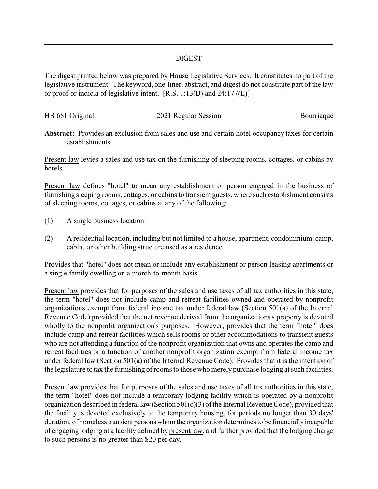## DIGEST

The digest printed below was prepared by House Legislative Services. It constitutes no part of the legislative instrument. The keyword, one-liner, abstract, and digest do not constitute part of the law or proof or indicia of legislative intent. [R.S. 1:13(B) and 24:177(E)]

| HB 681 Original | 2021 Regular Session |            |
|-----------------|----------------------|------------|
|                 |                      | Bourriaque |
|                 |                      |            |

**Abstract:** Provides an exclusion from sales and use and certain hotel occupancy taxes for certain establishments.

Present law levies a sales and use tax on the furnishing of sleeping rooms, cottages, or cabins by hotels.

Present law defines "hotel" to mean any establishment or person engaged in the business of furnishing sleeping rooms, cottages, or cabins to transient guests, where such establishment consists of sleeping rooms, cottages, or cabins at any of the following:

- (1) A single business location.
- (2) A residential location, including but not limited to a house, apartment, condominium, camp, cabin, or other building structure used as a residence.

Provides that "hotel" does not mean or include any establishment or person leasing apartments or a single family dwelling on a month-to-month basis.

Present law provides that for purposes of the sales and use taxes of all tax authorities in this state, the term "hotel" does not include camp and retreat facilities owned and operated by nonprofit organizations exempt from federal income tax under federal law (Section 501(a) of the Internal Revenue Code) provided that the net revenue derived from the organizations's property is devoted wholly to the nonprofit organization's purposes. However, provides that the term "hotel" does include camp and retreat facilities which sells rooms or other accommodations to transient guests who are not attending a function of the nonprofit organization that owns and operates the camp and retreat facilities or a function of another nonprofit organization exempt from federal income tax under federal law (Section 501(a) of the Internal Revenue Code). Provides that it is the intention of the legislature to tax the furnishing of rooms to those who merely purchase lodging at such facilities.

Present law provides that for purposes of the sales and use taxes of all tax authorities in this state, the term "hotel" does not include a temporary lodging facility which is operated by a nonprofit organization described in federal law(Section 501(c)(3) of the Internal Revenue Code), provided that the facility is devoted exclusively to the temporary housing, for periods no longer than 30 days' duration, of homeless transient personswhomthe organization determines to be financiallyincapable of engaging lodging at a facility defined by present law, and further provided that the lodging charge to such persons is no greater than \$20 per day.